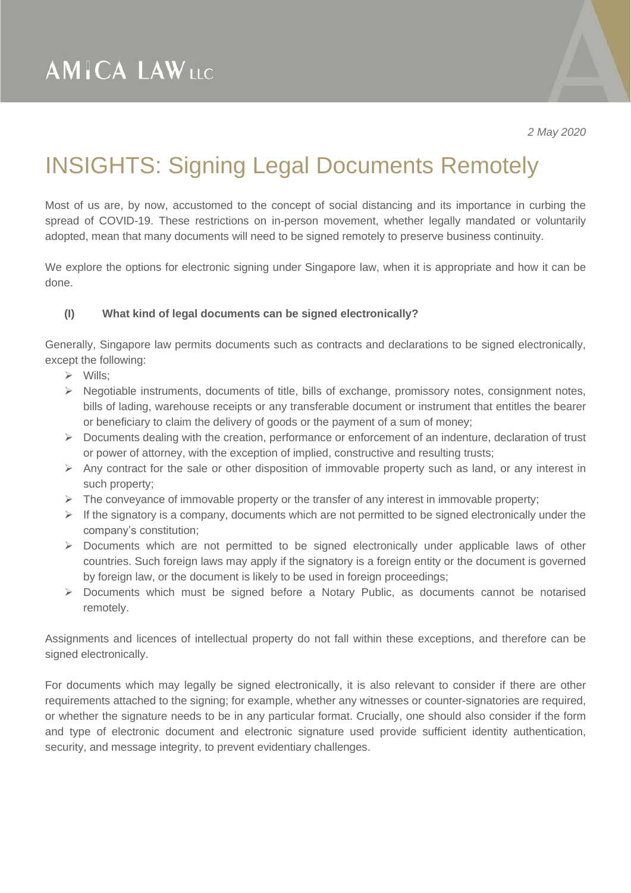*2 May 2020*

## INSIGHTS: Signing Legal Documents Remotely

Most of us are, by now, accustomed to the concept of social distancing and its importance in curbing the spread of COVID-19. These restrictions on in-person movement, whether legally mandated or voluntarily adopted, mean that many documents will need to be signed remotely to preserve business continuity.

We explore the options for electronic signing under Singapore law, when it is appropriate and how it can be done.

### **(I) What kind of legal documents can be signed electronically?**

Generally, Singapore law permits documents such as contracts and declarations to be signed electronically, except the following:

- ➢ Wills;
- ➢ Negotiable instruments, documents of title, bills of exchange, promissory notes, consignment notes, bills of lading, warehouse receipts or any transferable document or instrument that entitles the bearer or beneficiary to claim the delivery of goods or the payment of a sum of money;
- ➢ Documents dealing with the creation, performance or enforcement of an indenture, declaration of trust or power of attorney, with the exception of implied, constructive and resulting trusts;
- $\triangleright$  Any contract for the sale or other disposition of immovable property such as land, or any interest in such property;
- $\triangleright$  The conveyance of immovable property or the transfer of any interest in immovable property;
- $\triangleright$  If the signatory is a company, documents which are not permitted to be signed electronically under the company's constitution;
- $\triangleright$  Documents which are not permitted to be signed electronically under applicable laws of other countries. Such foreign laws may apply if the signatory is a foreign entity or the document is governed by foreign law, or the document is likely to be used in foreign proceedings;
- ➢ Documents which must be signed before a Notary Public, as documents cannot be notarised remotely.

Assignments and licences of intellectual property do not fall within these exceptions, and therefore can be signed electronically.

For documents which may legally be signed electronically, it is also relevant to consider if there are other requirements attached to the signing; for example, whether any witnesses or counter-signatories are required, or whether the signature needs to be in any particular format. Crucially, one should also consider if the form and type of electronic document and electronic signature used provide sufficient identity authentication, security, and message integrity, to prevent evidentiary challenges.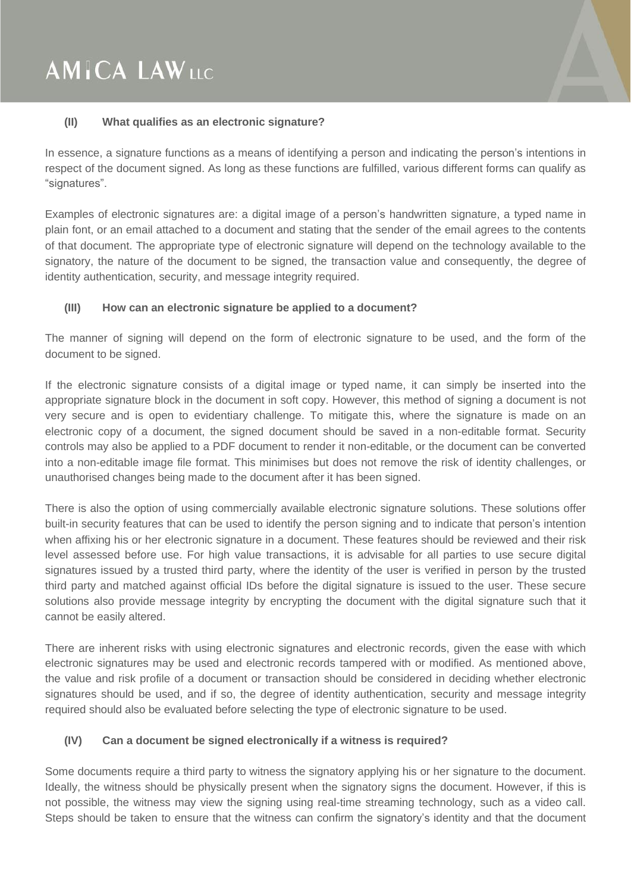# **AMICA LAWLLC**

#### **(II) What qualifies as an electronic signature?**

In essence, a signature functions as a means of identifying a person and indicating the person's intentions in respect of the document signed. As long as these functions are fulfilled, various different forms can qualify as "signatures".

Examples of electronic signatures are: a digital image of a person's handwritten signature, a typed name in plain font, or an email attached to a document and stating that the sender of the email agrees to the contents of that document. The appropriate type of electronic signature will depend on the technology available to the signatory, the nature of the document to be signed, the transaction value and consequently, the degree of identity authentication, security, and message integrity required.

#### **(III) How can an electronic signature be applied to a document?**

The manner of signing will depend on the form of electronic signature to be used, and the form of the document to be signed.

If the electronic signature consists of a digital image or typed name, it can simply be inserted into the appropriate signature block in the document in soft copy. However, this method of signing a document is not very secure and is open to evidentiary challenge. To mitigate this, where the signature is made on an electronic copy of a document, the signed document should be saved in a non-editable format. Security controls may also be applied to a PDF document to render it non-editable, or the document can be converted into a non-editable image file format. This minimises but does not remove the risk of identity challenges, or unauthorised changes being made to the document after it has been signed.

There is also the option of using commercially available electronic signature solutions. These solutions offer built-in security features that can be used to identify the person signing and to indicate that person's intention when affixing his or her electronic signature in a document. These features should be reviewed and their risk level assessed before use. For high value transactions, it is advisable for all parties to use secure digital signatures issued by a trusted third party, where the identity of the user is verified in person by the trusted third party and matched against official IDs before the digital signature is issued to the user. These secure solutions also provide message integrity by encrypting the document with the digital signature such that it cannot be easily altered.

There are inherent risks with using electronic signatures and electronic records, given the ease with which electronic signatures may be used and electronic records tampered with or modified. As mentioned above, the value and risk profile of a document or transaction should be considered in deciding whether electronic signatures should be used, and if so, the degree of identity authentication, security and message integrity required should also be evaluated before selecting the type of electronic signature to be used.

### **(IV) Can a document be signed electronically if a witness is required?**

Some documents require a third party to witness the signatory applying his or her signature to the document. Ideally, the witness should be physically present when the signatory signs the document. However, if this is not possible, the witness may view the signing using real-time streaming technology, such as a video call. Steps should be taken to ensure that the witness can confirm the signatory's identity and that the document